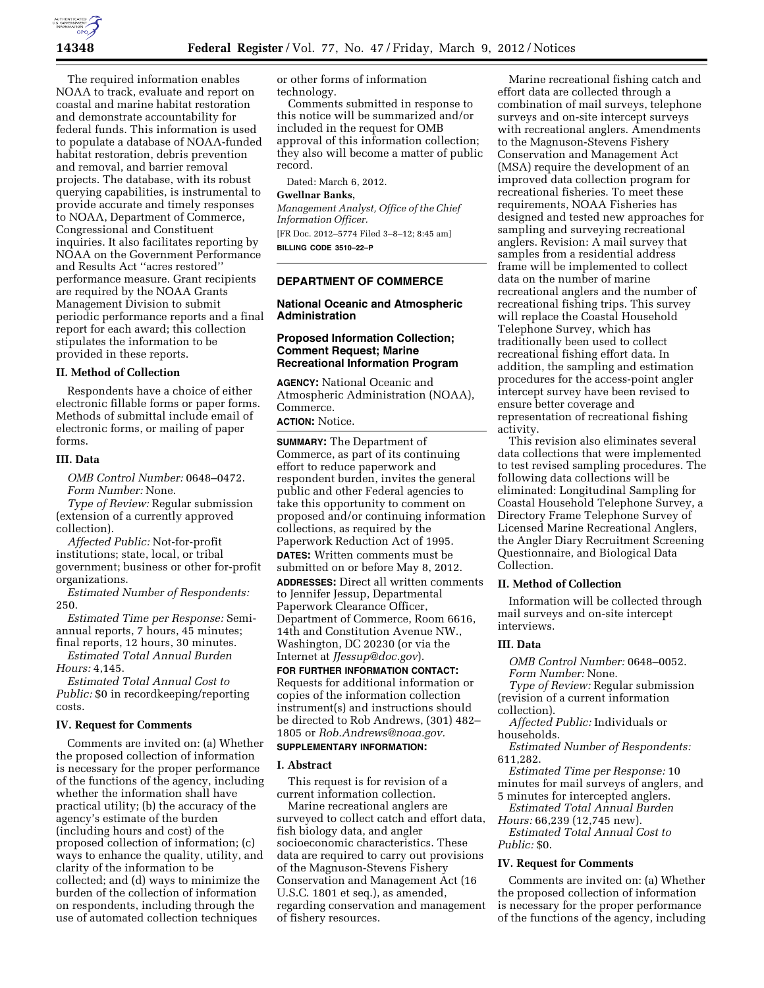

The required information enables NOAA to track, evaluate and report on coastal and marine habitat restoration and demonstrate accountability for federal funds. This information is used to populate a database of NOAA-funded habitat restoration, debris prevention and removal, and barrier removal projects. The database, with its robust querying capabilities, is instrumental to provide accurate and timely responses to NOAA, Department of Commerce, Congressional and Constituent inquiries. It also facilitates reporting by NOAA on the Government Performance and Results Act ''acres restored'' performance measure. Grant recipients are required by the NOAA Grants Management Division to submit periodic performance reports and a final report for each award; this collection stipulates the information to be provided in these reports.

### **II. Method of Collection**

Respondents have a choice of either electronic fillable forms or paper forms. Methods of submittal include email of electronic forms, or mailing of paper forms.

# **III. Data**

*OMB Control Number:* 0648–0472. *Form Number:* None.

*Type of Review:* Regular submission (extension of a currently approved collection).

*Affected Public:* Not-for-profit institutions; state, local, or tribal government; business or other for-profit organizations.

*Estimated Number of Respondents:*  250.

*Estimated Time per Response:* Semiannual reports, 7 hours, 45 minutes; final reports, 12 hours, 30 minutes.

*Estimated Total Annual Burden Hours:* 4,145.

*Estimated Total Annual Cost to Public:* \$0 in recordkeeping/reporting costs.

### **IV. Request for Comments**

Comments are invited on: (a) Whether the proposed collection of information is necessary for the proper performance of the functions of the agency, including whether the information shall have practical utility; (b) the accuracy of the agency's estimate of the burden (including hours and cost) of the proposed collection of information; (c) ways to enhance the quality, utility, and clarity of the information to be collected; and (d) ways to minimize the burden of the collection of information on respondents, including through the use of automated collection techniques

or other forms of information technology.

Comments submitted in response to this notice will be summarized and/or included in the request for OMB approval of this information collection; they also will become a matter of public record.

Dated: March 6, 2012.

#### **Gwellnar Banks,**

*Management Analyst, Office of the Chief Information Officer.*  [FR Doc. 2012–5774 Filed 3–8–12; 8:45 am] **BILLING CODE 3510–22–P** 

## **DEPARTMENT OF COMMERCE**

## **National Oceanic and Atmospheric Administration**

### **Proposed Information Collection; Comment Request; Marine Recreational Information Program**

**AGENCY:** National Oceanic and Atmospheric Administration (NOAA), Commerce.

**ACTION:** Notice.

**SUMMARY:** The Department of Commerce, as part of its continuing effort to reduce paperwork and respondent burden, invites the general public and other Federal agencies to take this opportunity to comment on proposed and/or continuing information collections, as required by the Paperwork Reduction Act of 1995. **DATES:** Written comments must be submitted on or before May 8, 2012. **ADDRESSES:** Direct all written comments to Jennifer Jessup, Departmental Paperwork Clearance Officer, Department of Commerce, Room 6616, 14th and Constitution Avenue NW., Washington, DC 20230 (or via the Internet at *[JJessup@doc.gov](mailto:JJessup@doc.gov)*). **FOR FURTHER INFORMATION CONTACT:** 

Requests for additional information or copies of the information collection instrument(s) and instructions should be directed to Rob Andrews, (301) 482– 1805 or *[Rob.Andrews@noaa.gov.](mailto:Rob.Andrews@noaa.gov)* 

# **SUPPLEMENTARY INFORMATION:**

#### **I. Abstract**

This request is for revision of a current information collection.

Marine recreational anglers are surveyed to collect catch and effort data, fish biology data, and angler socioeconomic characteristics. These data are required to carry out provisions of the Magnuson-Stevens Fishery Conservation and Management Act (16 U.S.C. 1801 et seq.), as amended, regarding conservation and management of fishery resources.

Marine recreational fishing catch and effort data are collected through a combination of mail surveys, telephone surveys and on-site intercept surveys with recreational anglers. Amendments to the Magnuson-Stevens Fishery Conservation and Management Act (MSA) require the development of an improved data collection program for recreational fisheries. To meet these requirements, NOAA Fisheries has designed and tested new approaches for sampling and surveying recreational anglers. Revision: A mail survey that samples from a residential address frame will be implemented to collect data on the number of marine recreational anglers and the number of recreational fishing trips. This survey will replace the Coastal Household Telephone Survey, which has traditionally been used to collect recreational fishing effort data. In addition, the sampling and estimation procedures for the access-point angler intercept survey have been revised to ensure better coverage and representation of recreational fishing activity.

This revision also eliminates several data collections that were implemented to test revised sampling procedures. The following data collections will be eliminated: Longitudinal Sampling for Coastal Household Telephone Survey, a Directory Frame Telephone Survey of Licensed Marine Recreational Anglers, the Angler Diary Recruitment Screening Questionnaire, and Biological Data Collection.

### **II. Method of Collection**

Information will be collected through mail surveys and on-site intercept interviews.

### **III. Data**

*OMB Control Number:* 0648–0052. *Form Number:* None.

*Type of Review:* Regular submission (revision of a current information collection).

*Affected Public:* Individuals or households.

*Estimated Number of Respondents:*  611,282.

*Estimated Time per Response:* 10 minutes for mail surveys of anglers, and 5 minutes for intercepted anglers.

*Estimated Total Annual Burden Hours:* 66,239 (12,745 new).

*Estimated Total Annual Cost to Public:* \$0.

#### **IV. Request for Comments**

Comments are invited on: (a) Whether the proposed collection of information is necessary for the proper performance of the functions of the agency, including